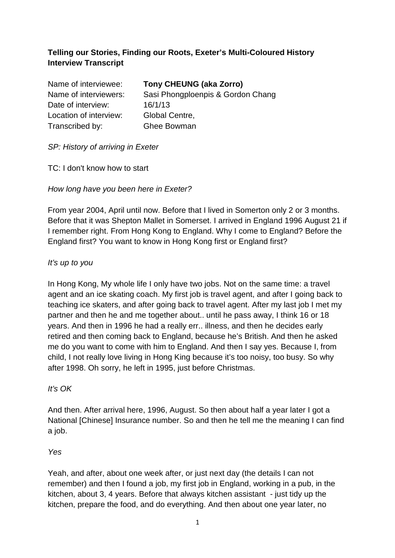# **Telling our Stories, Finding our Roots, Exeter's Multi-Coloured History Interview Transcript**

| Name of interviewee:   | <b>Tony CHEUNG (aka Zorro)</b>    |
|------------------------|-----------------------------------|
| Name of interviewers:  | Sasi Phongploenpis & Gordon Chang |
| Date of interview:     | 16/1/13                           |
| Location of interview: | Global Centre,                    |
| Transcribed by:        | <b>Ghee Bowman</b>                |

# SP: History of arriving in Exeter

TC: I don't know how to start

# How long have you been here in Exeter?

From year 2004, April until now. Before that I lived in Somerton only 2 or 3 months. Before that it was Shepton Mallet in Somerset. I arrived in England 1996 August 21 if I remember right. From Hong Kong to England. Why I come to England? Before the England first? You want to know in Hong Kong first or England first?

# It's up to you

In Hong Kong, My whole life I only have two jobs. Not on the same time: a travel agent and an ice skating coach. My first job is travel agent, and after I going back to teaching ice skaters, and after going back to travel agent. After my last job I met my partner and then he and me together about.. until he pass away, I think 16 or 18 years. And then in 1996 he had a really err.. illness, and then he decides early retired and then coming back to England, because he's British. And then he asked me do you want to come with him to England. And then I say yes. Because I, from child, I not really love living in Hong King because it's too noisy, too busy. So why after 1998. Oh sorry, he left in 1995, just before Christmas.

# It's  $OK$

And then. After arrival here, 1996, August. So then about half a year later I got a National [Chinese] Insurance number. So and then he tell me the meaning I can find a job.

# Yes

Yeah, and after, about one week after, or just next day (the details I can not remember) and then I found a job, my first job in England, working in a pub, in the kitchen, about 3, 4 years. Before that always kitchen assistant - just tidy up the kitchen, prepare the food, and do everything. And then about one year later, no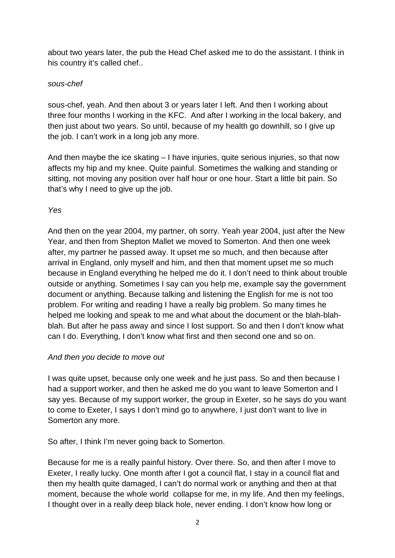about two years later, the pub the Head Chef asked me to do the assistant. I think in his country it's called chef..

### sous-chef

sous-chef, yeah. And then about 3 or years later I left. And then I working about three four months I working in the KFC. And after I working in the local bakery, and then just about two years. So until, because of my health go downhill, so I give up the job. I can't work in a long job any more.

And then maybe the ice skating  $-1$  have injuries, quite serious injuries, so that now affects my hip and my knee. Quite painful. Sometimes the walking and standing or sitting, not moving any position over half hour or one hour. Start a little bit pain. So that's why I need to give up the job.

# Yes

And then on the year 2004, my partner, oh sorry. Yeah year 2004, just after the New Year, and then from Shepton Mallet we moved to Somerton. And then one week after, my partner he passed away. It upset me so much, and then because after arrival in England, only myself and him, and then that moment upset me so much because in England everything he helped me do it. I don't need to think about trouble outside or anything. Sometimes I say can you help me, example say the government document or anything. Because talking and listening the English for me is not too problem. For writing and reading I have a really big problem. So many times he helped me looking and speak to me and what about the document or the blah-blahblah. But after he pass away and since I lost support. So and then I don't know what can I do. Everything, I don't know what first and then second one and so on.

# And then you decide to move out

I was quite upset, because only one week and he just pass. So and then because I had a support worker, and then he asked me do you want to leave Somerton and I say yes. Because of my support worker, the group in Exeter, so he says do you want to come to Exeter, I says I don't mind go to anywhere, I just don't want to live in Somerton any more.

So after, I think I'm never going back to Somerton.

Because for me is a really painful history. Over there. So, and then after I move to Exeter, I really lucky. One month after I got a council flat, I stay in a council flat and then my health quite damaged, I can't do normal work or anything and then at that moment, because the whole world collapse for me, in my life. And then my feelings, I thought over in a really deep black hole, never ending. I don't know how long or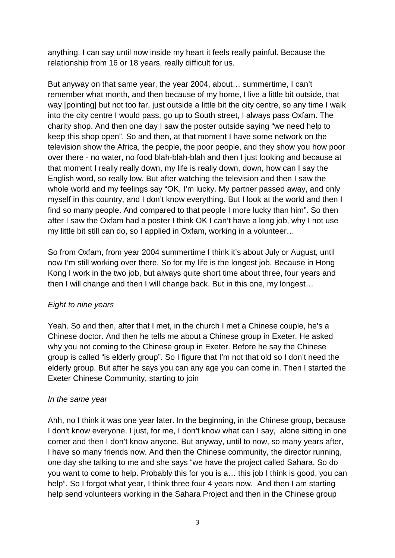anything. I can say until now inside my heart it feels really painful. Because the relationship from 16 or 18 years, really difficult for us.

But anyway on that same year, the year 2004, about… summertime, I can't remember what month, and then because of my home, I live a little bit outside, that way [pointing] but not too far, just outside a little bit the city centre, so any time I walk into the city centre I would pass, go up to South street, I always pass Oxfam. The charity shop. And then one day I saw the poster outside saying "we need help to keep this shop open". So and then, at that moment I have some network on the television show the Africa, the people, the poor people, and they show you how poor over there - no water, no food blah-blah-blah and then I just looking and because at that moment I really really down, my life is really down, down, how can I say the English word, so really low. But after watching the television and then I saw the whole world and my feelings say "OK, I'm lucky. My partner passed away, and only myself in this country, and I don't know everything. But I look at the world and then I find so many people. And compared to that people I more lucky than him". So then after I saw the Oxfam had a poster I think OK I can't have a long job, why I not use my little bit still can do, so I applied in Oxfam, working in a volunteer…

So from Oxfam, from year 2004 summertime I think it's about July or August, until now I'm still working over there. So for my life is the longest job. Because in Hong Kong I work in the two job, but always quite short time about three, four years and then I will change and then I will change back. But in this one, my longest…

# Eight to nine years

Yeah. So and then, after that I met, in the church I met a Chinese couple, he's a Chinese doctor. And then he tells me about a Chinese group in Exeter. He asked why you not coming to the Chinese group in Exeter. Before he say the Chinese group is called "is elderly group". So I figure that I'm not that old so I don't need the elderly group. But after he says you can any age you can come in. Then I started the Exeter Chinese Community, starting to join

# In the same year

Ahh, no I think it was one year later. In the beginning, in the Chinese group, because I don't know everyone. I just, for me, I don't know what can I say, alone sitting in one corner and then I don't know anyone. But anyway, until to now, so many years after, I have so many friends now. And then the Chinese community, the director running, one day she talking to me and she says "we have the project called Sahara. So do you want to come to help. Probably this for you is a… this job I think is good, you can help". So I forgot what year, I think three four 4 years now. And then I am starting help send volunteers working in the Sahara Project and then in the Chinese group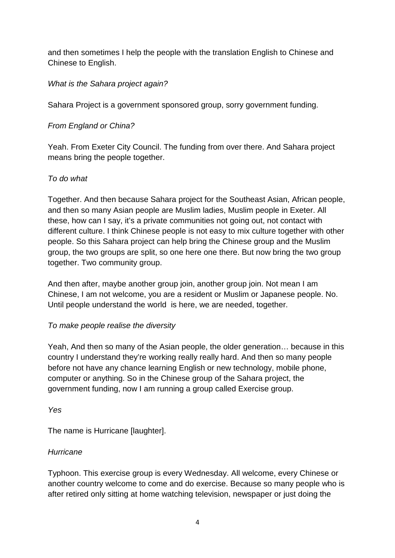and then sometimes I help the people with the translation English to Chinese and Chinese to English.

# What is the Sahara project again?

Sahara Project is a government sponsored group, sorry government funding.

# From England or China?

Yeah. From Exeter City Council. The funding from over there. And Sahara project means bring the people together.

# To do what

Together. And then because Sahara project for the Southeast Asian, African people, and then so many Asian people are Muslim ladies, Muslim people in Exeter. All these, how can I say, it's a private communities not going out, not contact with different culture. I think Chinese people is not easy to mix culture together with other people. So this Sahara project can help bring the Chinese group and the Muslim group, the two groups are split, so one here one there. But now bring the two group together. Two community group.

And then after, maybe another group join, another group join. Not mean I am Chinese, I am not welcome, you are a resident or Muslim or Japanese people. No. Until people understand the world is here, we are needed, together.

# To make people realise the diversity

Yeah, And then so many of the Asian people, the older generation… because in this country I understand they're working really really hard. And then so many people before not have any chance learning English or new technology, mobile phone, computer or anything. So in the Chinese group of the Sahara project, the government funding, now I am running a group called Exercise group.

Yes

The name is Hurricane [laughter].

# **Hurricane**

Typhoon. This exercise group is every Wednesday. All welcome, every Chinese or another country welcome to come and do exercise. Because so many people who is after retired only sitting at home watching television, newspaper or just doing the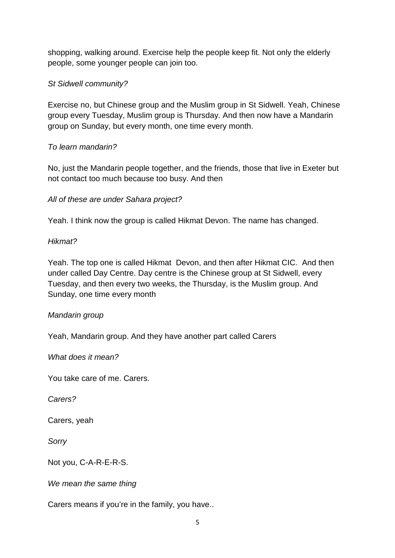shopping, walking around. Exercise help the people keep fit. Not only the elderly people, some younger people can join too.

# St Sidwell community?

Exercise no, but Chinese group and the Muslim group in St Sidwell. Yeah, Chinese group every Tuesday, Muslim group is Thursday. And then now have a Mandarin group on Sunday, but every month, one time every month.

# To learn mandarin?

No, just the Mandarin people together, and the friends, those that live in Exeter but not contact too much because too busy. And then

All of these are under Sahara project?

Yeah. I think now the group is called Hikmat Devon. The name has changed.

# Hikmat?

Yeah. The top one is called Hikmat Devon, and then after Hikmat CIC. And then under called Day Centre. Day centre is the Chinese group at St Sidwell, every Tuesday, and then every two weeks, the Thursday, is the Muslim group. And Sunday, one time every month

# Mandarin group

Yeah, Mandarin group. And they have another part called Carers

What does it mean?

You take care of me. Carers.

Carers?

Carers, yeah

Sorry

Not you, C-A-R-E-R-S.

We mean the same thing

Carers means if you're in the family, you have..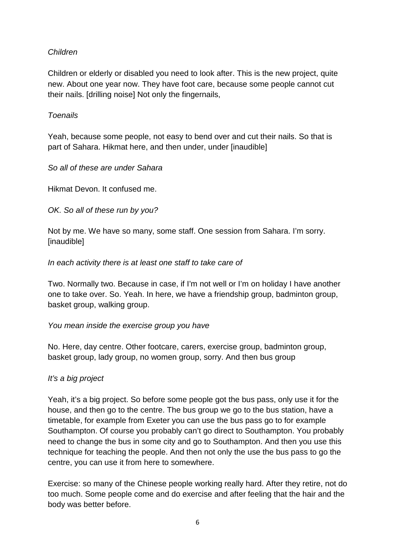# Children

Children or elderly or disabled you need to look after. This is the new project, quite new. About one year now. They have foot care, because some people cannot cut their nails. [drilling noise] Not only the fingernails,

### Toenails

Yeah, because some people, not easy to bend over and cut their nails. So that is part of Sahara. Hikmat here, and then under, under [inaudible]

So all of these are under Sahara

Hikmat Devon. It confused me.

OK. So all of these run by you?

Not by me. We have so many, some staff. One session from Sahara. I'm sorry. [inaudible]

### In each activity there is at least one staff to take care of

Two. Normally two. Because in case, if I'm not well or I'm on holiday I have another one to take over. So. Yeah. In here, we have a friendship group, badminton group, basket group, walking group.

#### You mean inside the exercise group you have

No. Here, day centre. Other footcare, carers, exercise group, badminton group, basket group, lady group, no women group, sorry. And then bus group

# It's a big project

Yeah, it's a big project. So before some people got the bus pass, only use it for the house, and then go to the centre. The bus group we go to the bus station, have a timetable, for example from Exeter you can use the bus pass go to for example Southampton. Of course you probably can't go direct to Southampton. You probably need to change the bus in some city and go to Southampton. And then you use this technique for teaching the people. And then not only the use the bus pass to go the centre, you can use it from here to somewhere.

Exercise: so many of the Chinese people working really hard. After they retire, not do too much. Some people come and do exercise and after feeling that the hair and the body was better before.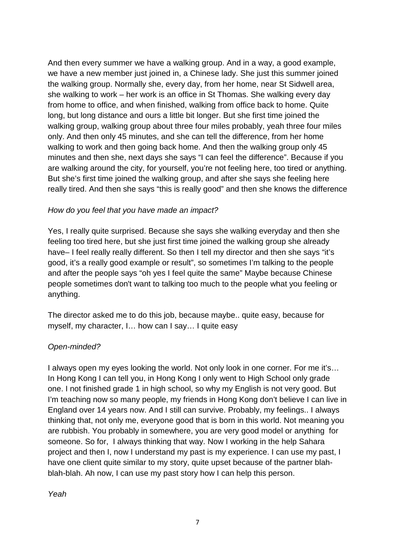And then every summer we have a walking group. And in a way, a good example, we have a new member just joined in, a Chinese lady. She just this summer joined the walking group. Normally she, every day, from her home, near St Sidwell area, she walking to work – her work is an office in St Thomas. She walking every day from home to office, and when finished, walking from office back to home. Quite long, but long distance and ours a little bit longer. But she first time joined the walking group, walking group about three four miles probably, yeah three four miles only. And then only 45 minutes, and she can tell the difference, from her home walking to work and then going back home. And then the walking group only 45 minutes and then she, next days she says "I can feel the difference". Because if you are walking around the city, for yourself, you're not feeling here, too tired or anything. But she's first time joined the walking group, and after she says she feeling here really tired. And then she says "this is really good" and then she knows the difference

# How do you feel that you have made an impact?

Yes, I really quite surprised. Because she says she walking everyday and then she feeling too tired here, but she just first time joined the walking group she already have– I feel really really different. So then I tell my director and then she says "it's good, it's a really good example or result", so sometimes I'm talking to the people and after the people says "oh yes I feel quite the same" Maybe because Chinese people sometimes don't want to talking too much to the people what you feeling or anything.

The director asked me to do this job, because maybe.. quite easy, because for myself, my character, I… how can I say… I quite easy

# Open-minded?

I always open my eyes looking the world. Not only look in one corner. For me it's... In Hong Kong I can tell you, in Hong Kong I only went to High School only grade one. I not finished grade 1 in high school, so why my English is not very good. But I'm teaching now so many people, my friends in Hong Kong don't believe I can live in England over 14 years now. And I still can survive. Probably, my feelings.. I always thinking that, not only me, everyone good that is born in this world. Not meaning you are rubbish. You probably in somewhere, you are very good model or anything for someone. So for, I always thinking that way. Now I working in the help Sahara project and then I, now I understand my past is my experience. I can use my past, I have one client quite similar to my story, quite upset because of the partner blahblah-blah. Ah now, I can use my past story how I can help this person.

Yeah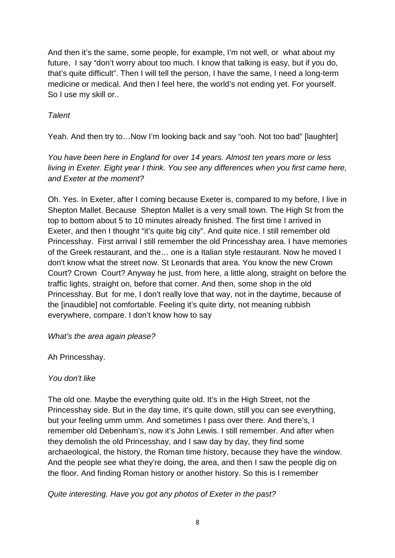And then it's the same, some people, for example, I'm not well, or what about my future, I say "don't worry about too much. I know that talking is easy, but if you do, that's quite difficult". Then I will tell the person, I have the same, I need a long-term medicine or medical. And then I feel here, the world's not ending yet. For yourself. So I use my skill or..

# **Talent**

Yeah. And then try to…Now I'm looking back and say "ooh. Not too bad" [laughter]

You have been here in England for over 14 years. Almost ten years more or less living in Exeter. Eight year I think. You see any differences when you first came here, and Exeter at the moment?

Oh. Yes. In Exeter, after I coming because Exeter is, compared to my before, I live in Shepton Mallet. Because Shepton Mallet is a very small town. The High St from the top to bottom about 5 to 10 minutes already finished. The first time I arrived in Exeter, and then I thought "it's quite big city". And quite nice. I still remember old Princesshay. First arrival I still remember the old Princesshay area. I have memories of the Greek restaurant, and the… one is a Italian style restaurant. Now he moved I don't know what the street now. St Leonards that area. You know the new Crown Court? Crown Court? Anyway he just, from here, a little along, straight on before the traffic lights, straight on, before that corner. And then, some shop in the old Princesshay. But for me, I don't really love that way, not in the daytime, because of the [inaudible] not comfortable. Feeling it's quite dirty, not meaning rubbish everywhere, compare. I don't know how to say

What's the area again please?

Ah Princesshay.

You don't like

The old one. Maybe the everything quite old. It's in the High Street, not the Princesshay side. But in the day time, it's quite down, still you can see everything, but your feeling umm umm. And sometimes I pass over there. And there's, I remember old Debenham's, now it's John Lewis. I still remember. And after when they demolish the old Princesshay, and I saw day by day, they find some archaeological, the history, the Roman time history, because they have the window. And the people see what they're doing, the area, and then I saw the people dig on the floor. And finding Roman history or another history. So this is I remember

Quite interesting. Have you got any photos of Exeter in the past?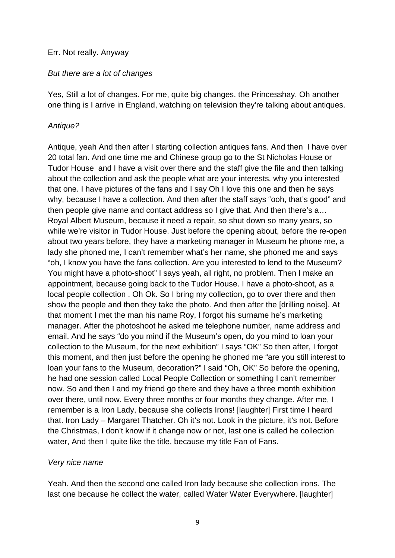#### Err. Not really. Anyway

#### But there are a lot of changes

Yes, Still a lot of changes. For me, quite big changes, the Princesshay. Oh another one thing is I arrive in England, watching on television they're talking about antiques.

#### Antique?

Antique, yeah And then after I starting collection antiques fans. And then I have over 20 total fan. And one time me and Chinese group go to the St Nicholas House or Tudor House and I have a visit over there and the staff give the file and then talking about the collection and ask the people what are your interests, why you interested that one. I have pictures of the fans and I say Oh I love this one and then he says why, because I have a collection. And then after the staff says "ooh, that's good" and then people give name and contact address so I give that. And then there's a… Royal Albert Museum, because it need a repair, so shut down so many years, so while we're visitor in Tudor House. Just before the opening about, before the re-open about two years before, they have a marketing manager in Museum he phone me, a lady she phoned me, I can't remember what's her name, she phoned me and says "oh, I know you have the fans collection. Are you interested to lend to the Museum? You might have a photo-shoot" I says yeah, all right, no problem. Then I make an appointment, because going back to the Tudor House. I have a photo-shoot, as a local people collection . Oh Ok. So I bring my collection, go to over there and then show the people and then they take the photo. And then after the [drilling noise]. At that moment I met the man his name Roy, I forgot his surname he's marketing manager. After the photoshoot he asked me telephone number, name address and email. And he says "do you mind if the Museum's open, do you mind to loan your collection to the Museum, for the next exhibition" I says "OK" So then after, I forgot this moment, and then just before the opening he phoned me "are you still interest to loan your fans to the Museum, decoration?" I said "Oh, OK" So before the opening, he had one session called Local People Collection or something I can't remember now. So and then I and my friend go there and they have a three month exhibition over there, until now. Every three months or four months they change. After me, I remember is a Iron Lady, because she collects Irons! [laughter] First time I heard that. Iron Lady – Margaret Thatcher. Oh it's not. Look in the picture, it's not. Before the Christmas, I don't know if it change now or not, last one is called he collection water, And then I quite like the title, because my title Fan of Fans.

#### Very nice name

Yeah. And then the second one called Iron lady because she collection irons. The last one because he collect the water, called Water Water Everywhere. [laughter]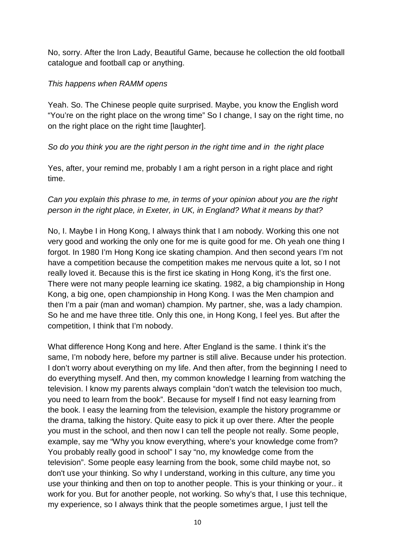No, sorry. After the Iron Lady, Beautiful Game, because he collection the old football catalogue and football cap or anything.

### This happens when RAMM opens

Yeah. So. The Chinese people quite surprised. Maybe, you know the English word "You're on the right place on the wrong time" So I change, I say on the right time, no on the right place on the right time [laughter].

# So do you think you are the right person in the right time and in the right place

Yes, after, your remind me, probably I am a right person in a right place and right time.

# Can you explain this phrase to me, in terms of your opinion about you are the right person in the right place, in Exeter, in UK, in England? What it means by that?

No, I. Maybe I in Hong Kong, I always think that I am nobody. Working this one not very good and working the only one for me is quite good for me. Oh yeah one thing I forgot. In 1980 I'm Hong Kong ice skating champion. And then second years I'm not have a competition because the competition makes me nervous quite a lot, so I not really loved it. Because this is the first ice skating in Hong Kong, it's the first one. There were not many people learning ice skating. 1982, a big championship in Hong Kong, a big one, open championship in Hong Kong. I was the Men champion and then I'm a pair (man and woman) champion. My partner, she, was a lady champion. So he and me have three title. Only this one, in Hong Kong, I feel yes. But after the competition, I think that I'm nobody.

What difference Hong Kong and here. After England is the same. I think it's the same, I'm nobody here, before my partner is still alive. Because under his protection. I don't worry about everything on my life. And then after, from the beginning I need to do everything myself. And then, my common knowledge I learning from watching the television. I know my parents always complain "don't watch the television too much, you need to learn from the book". Because for myself I find not easy learning from the book. I easy the learning from the television, example the history programme or the drama, talking the history. Quite easy to pick it up over there. After the people you must in the school, and then now I can tell the people not really. Some people, example, say me "Why you know everything, where's your knowledge come from? You probably really good in school" I say "no, my knowledge come from the television". Some people easy learning from the book, some child maybe not, so don't use your thinking. So why I understand, working in this culture, any time you use your thinking and then on top to another people. This is your thinking or your.. it work for you. But for another people, not working. So why's that, I use this technique, my experience, so I always think that the people sometimes argue, I just tell the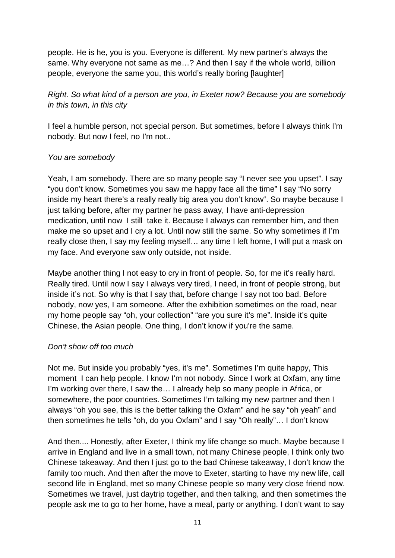people. He is he, you is you. Everyone is different. My new partner's always the same. Why everyone not same as me…? And then I say if the whole world, billion people, everyone the same you, this world's really boring [laughter]

# Right. So what kind of a person are you, in Exeter now? Because you are somebody in this town, in this city

I feel a humble person, not special person. But sometimes, before I always think I'm nobody. But now I feel, no I'm not..

# You are somebody

Yeah, I am somebody. There are so many people say "I never see you upset". I say "you don't know. Sometimes you saw me happy face all the time" I say "No sorry inside my heart there's a really really big area you don't know". So maybe because I just talking before, after my partner he pass away, I have anti-depression medication, until now I still take it. Because I always can remember him, and then make me so upset and I cry a lot. Until now still the same. So why sometimes if I'm really close then, I say my feeling myself… any time I left home, I will put a mask on my face. And everyone saw only outside, not inside.

Maybe another thing I not easy to cry in front of people. So, for me it's really hard. Really tired. Until now I say I always very tired, I need, in front of people strong, but inside it's not. So why is that I say that, before change I say not too bad. Before nobody, now yes, I am someone. After the exhibition sometimes on the road, near my home people say "oh, your collection" "are you sure it's me". Inside it's quite Chinese, the Asian people. One thing, I don't know if you're the same.

# Don't show off too much

Not me. But inside you probably "yes, it's me". Sometimes I'm quite happy, This moment I can help people. I know I'm not nobody. Since I work at Oxfam, any time I'm working over there, I saw the… I already help so many people in Africa, or somewhere, the poor countries. Sometimes I'm talking my new partner and then I always "oh you see, this is the better talking the Oxfam" and he say "oh yeah" and then sometimes he tells "oh, do you Oxfam" and I say "Oh really"… I don't know

And then.... Honestly, after Exeter, I think my life change so much. Maybe because I arrive in England and live in a small town, not many Chinese people, I think only two Chinese takeaway. And then I just go to the bad Chinese takeaway, I don't know the family too much. And then after the move to Exeter, starting to have my new life, call second life in England, met so many Chinese people so many very close friend now. Sometimes we travel, just daytrip together, and then talking, and then sometimes the people ask me to go to her home, have a meal, party or anything. I don't want to say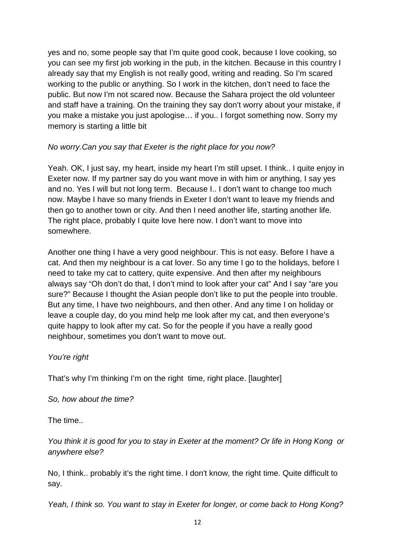yes and no, some people say that I'm quite good cook, because I love cooking, so you can see my first job working in the pub, in the kitchen. Because in this country I already say that my English is not really good, writing and reading. So I'm scared working to the public or anything. So I work in the kitchen, don't need to face the public. But now I'm not scared now. Because the Sahara project the old volunteer and staff have a training. On the training they say don't worry about your mistake, if you make a mistake you just apologise… if you.. I forgot something now. Sorry my memory is starting a little bit

# No worry.Can you say that Exeter is the right place for you now?

Yeah. OK, I just say, my heart, inside my heart I'm still upset. I think.. I quite enjoy in Exeter now. If my partner say do you want move in with him or anything, I say yes and no. Yes I will but not long term. Because I.. I don't want to change too much now. Maybe I have so many friends in Exeter I don't want to leave my friends and then go to another town or city. And then I need another life, starting another life. The right place, probably I quite love here now. I don't want to move into somewhere.

Another one thing I have a very good neighbour. This is not easy. Before I have a cat. And then my neighbour is a cat lover. So any time I go to the holidays, before I need to take my cat to cattery, quite expensive. And then after my neighbours always say "Oh don't do that, I don't mind to look after your cat" And I say "are you sure?" Because I thought the Asian people don't like to put the people into trouble. But any time, I have two neighbours, and then other. And any time I on holiday or leave a couple day, do you mind help me look after my cat, and then everyone's quite happy to look after my cat. So for the people if you have a really good neighbour, sometimes you don't want to move out.

# You're right

That's why I'm thinking I'm on the right time, right place. [laughter]

So, how about the time?

The time..

You think it is good for you to stay in Exeter at the moment? Or life in Hong Kong or anywhere else?

No, I think.. probably it's the right time. I don't know, the right time. Quite difficult to say.

Yeah, I think so. You want to stay in Exeter for longer, or come back to Hong Kong?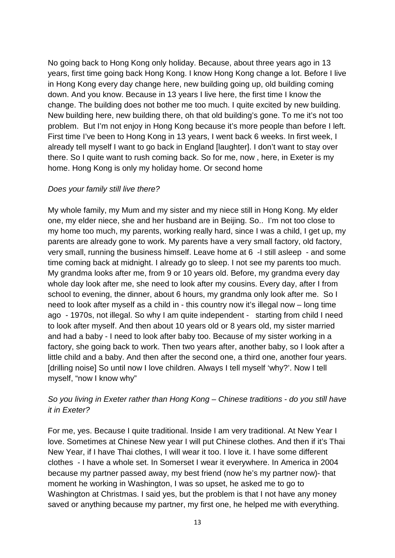No going back to Hong Kong only holiday. Because, about three years ago in 13 years, first time going back Hong Kong. I know Hong Kong change a lot. Before I live in Hong Kong every day change here, new building going up, old building coming down. And you know. Because in 13 years I live here, the first time I know the change. The building does not bother me too much. I quite excited by new building. New building here, new building there, oh that old building's gone. To me it's not too problem. But I'm not enjoy in Hong Kong because it's more people than before I left. First time I've been to Hong Kong in 13 years, I went back 6 weeks. In first week, I already tell myself I want to go back in England [laughter]. I don't want to stay over there. So I quite want to rush coming back. So for me, now , here, in Exeter is my home. Hong Kong is only my holiday home. Or second home

### Does your family still live there?

My whole family, my Mum and my sister and my niece still in Hong Kong. My elder one, my elder niece, she and her husband are in Beijing. So.. I'm not too close to my home too much, my parents, working really hard, since I was a child, I get up, my parents are already gone to work. My parents have a very small factory, old factory, very small, running the business himself. Leave home at 6 -I still asleep - and some time coming back at midnight. I already go to sleep. I not see my parents too much. My grandma looks after me, from 9 or 10 years old. Before, my grandma every day whole day look after me, she need to look after my cousins. Every day, after I from school to evening, the dinner, about 6 hours, my grandma only look after me. So I need to look after myself as a child in - this country now it's illegal now – long time ago - 1970s, not illegal. So why I am quite independent - starting from child I need to look after myself. And then about 10 years old or 8 years old, my sister married and had a baby - I need to look after baby too. Because of my sister working in a factory, she going back to work. Then two years after, another baby, so I look after a little child and a baby. And then after the second one, a third one, another four years. [drilling noise] So until now I love children. Always I tell myself 'why?'. Now I tell myself, "now I know why"

# So you living in Exeter rather than Hong Kong – Chinese traditions - do you still have it in Exeter?

For me, yes. Because I quite traditional. Inside I am very traditional. At New Year I love. Sometimes at Chinese New year I will put Chinese clothes. And then if it's Thai New Year, if I have Thai clothes, I will wear it too. I love it. I have some different clothes - I have a whole set. In Somerset I wear it everywhere. In America in 2004 because my partner passed away, my best friend (now he's my partner now)- that moment he working in Washington, I was so upset, he asked me to go to Washington at Christmas. I said yes, but the problem is that I not have any money saved or anything because my partner, my first one, he helped me with everything.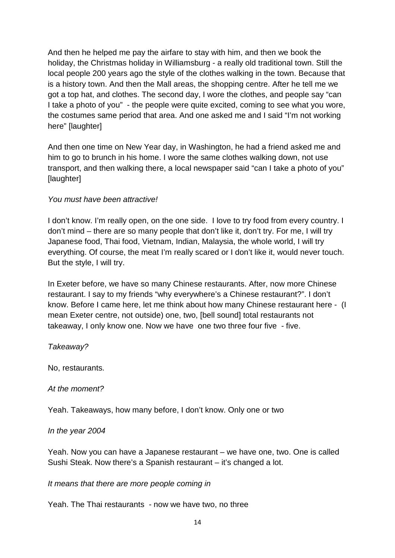And then he helped me pay the airfare to stay with him, and then we book the holiday, the Christmas holiday in Williamsburg - a really old traditional town. Still the local people 200 years ago the style of the clothes walking in the town. Because that is a history town. And then the Mall areas, the shopping centre. After he tell me we got a top hat, and clothes. The second day, I wore the clothes, and people say "can I take a photo of you" - the people were quite excited, coming to see what you wore, the costumes same period that area. And one asked me and I said "I'm not working here" [laughter]

And then one time on New Year day, in Washington, he had a friend asked me and him to go to brunch in his home. I wore the same clothes walking down, not use transport, and then walking there, a local newspaper said "can I take a photo of you" [laughter]

### You must have been attractive!

I don't know. I'm really open, on the one side. I love to try food from every country. I don't mind – there are so many people that don't like it, don't try. For me, I will try Japanese food, Thai food, Vietnam, Indian, Malaysia, the whole world, I will try everything. Of course, the meat I'm really scared or I don't like it, would never touch. But the style, I will try.

In Exeter before, we have so many Chinese restaurants. After, now more Chinese restaurant. I say to my friends "why everywhere's a Chinese restaurant?". I don't know. Before I came here, let me think about how many Chinese restaurant here - (I mean Exeter centre, not outside) one, two, [bell sound] total restaurants not takeaway, I only know one. Now we have one two three four five - five.

Takeaway?

No, restaurants.

At the moment?

Yeah. Takeaways, how many before, I don't know. Only one or two

#### In the year 2004

Yeah. Now you can have a Japanese restaurant – we have one, two. One is called Sushi Steak. Now there's a Spanish restaurant – it's changed a lot.

#### It means that there are more people coming in

Yeah. The Thai restaurants - now we have two, no three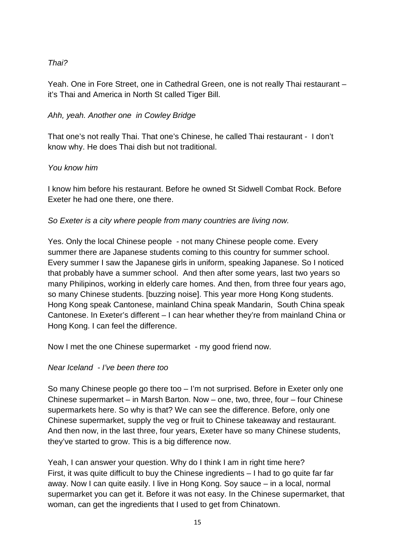# Thai?

Yeah. One in Fore Street, one in Cathedral Green, one is not really Thai restaurant – it's Thai and America in North St called Tiger Bill.

# Ahh, yeah. Another one in Cowley Bridge

That one's not really Thai. That one's Chinese, he called Thai restaurant - I don't know why. He does Thai dish but not traditional.

# You know him

I know him before his restaurant. Before he owned St Sidwell Combat Rock. Before Exeter he had one there, one there.

So Exeter is a city where people from many countries are living now.

Yes. Only the local Chinese people - not many Chinese people come. Every summer there are Japanese students coming to this country for summer school. Every summer I saw the Japanese girls in uniform, speaking Japanese. So I noticed that probably have a summer school. And then after some years, last two years so many Philipinos, working in elderly care homes. And then, from three four years ago, so many Chinese students. [buzzing noise]. This year more Hong Kong students. Hong Kong speak Cantonese, mainland China speak Mandarin, South China speak Cantonese. In Exeter's different – I can hear whether they're from mainland China or Hong Kong. I can feel the difference.

Now I met the one Chinese supermarket - my good friend now.

# Near Iceland - I've been there too

So many Chinese people go there too – I'm not surprised. Before in Exeter only one Chinese supermarket – in Marsh Barton. Now – one, two, three, four – four Chinese supermarkets here. So why is that? We can see the difference. Before, only one Chinese supermarket, supply the veg or fruit to Chinese takeaway and restaurant. And then now, in the last three, four years, Exeter have so many Chinese students, they've started to grow. This is a big difference now.

Yeah, I can answer your question. Why do I think I am in right time here? First, it was quite difficult to buy the Chinese ingredients – I had to go quite far far away. Now I can quite easily. I live in Hong Kong. Soy sauce – in a local, normal supermarket you can get it. Before it was not easy. In the Chinese supermarket, that woman, can get the ingredients that I used to get from Chinatown.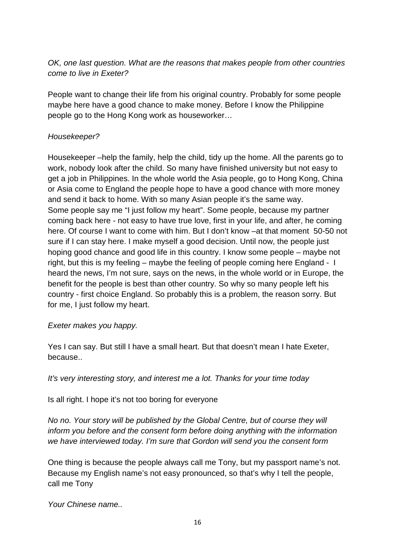OK, one last question. What are the reasons that makes people from other countries come to live in Exeter?

People want to change their life from his original country. Probably for some people maybe here have a good chance to make money. Before I know the Philippine people go to the Hong Kong work as houseworker…

# Housekeeper?

Housekeeper –help the family, help the child, tidy up the home. All the parents go to work, nobody look after the child. So many have finished university but not easy to get a job in Philippines. In the whole world the Asia people, go to Hong Kong, China or Asia come to England the people hope to have a good chance with more money and send it back to home. With so many Asian people it's the same way. Some people say me "I just follow my heart". Some people, because my partner coming back here - not easy to have true love, first in your life, and after, he coming here. Of course I want to come with him. But I don't know –at that moment 50-50 not sure if I can stay here. I make myself a good decision. Until now, the people just hoping good chance and good life in this country. I know some people – maybe not right, but this is my feeling – maybe the feeling of people coming here England - I heard the news, I'm not sure, says on the news, in the whole world or in Europe, the benefit for the people is best than other country. So why so many people left his country - first choice England. So probably this is a problem, the reason sorry. But for me, I just follow my heart.

Exeter makes you happy.

Yes I can say. But still I have a small heart. But that doesn't mean I hate Exeter, because..

It's very interesting story, and interest me a lot. Thanks for your time today

Is all right. I hope it's not too boring for everyone

No no. Your story will be published by the Global Centre, but of course they will inform you before and the consent form before doing anything with the information we have interviewed today. I'm sure that Gordon will send you the consent form

One thing is because the people always call me Tony, but my passport name's not. Because my English name's not easy pronounced, so that's why I tell the people, call me Tony

Your Chinese name..